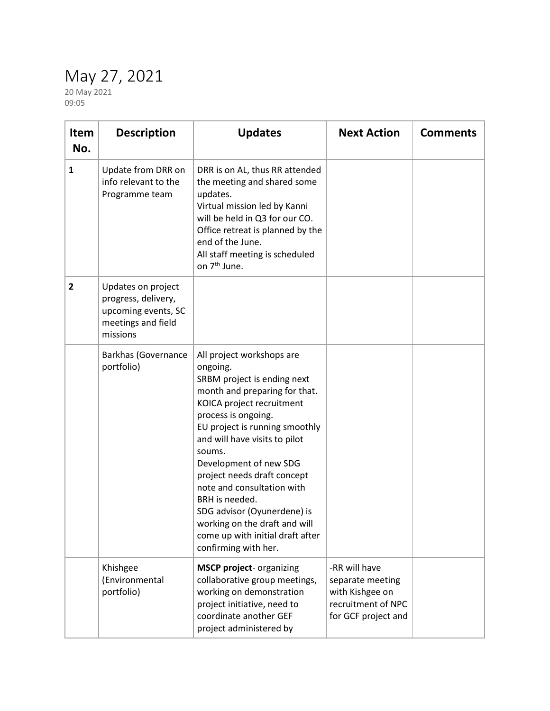## May 27, 2021

20 May 2021 09:05

| <b>Item</b><br>No. | <b>Description</b>                                                                                 | <b>Updates</b>                                                                                                                                                                                                                                                                                                                                                                                                                                                              | <b>Next Action</b>                                                                                | <b>Comments</b> |
|--------------------|----------------------------------------------------------------------------------------------------|-----------------------------------------------------------------------------------------------------------------------------------------------------------------------------------------------------------------------------------------------------------------------------------------------------------------------------------------------------------------------------------------------------------------------------------------------------------------------------|---------------------------------------------------------------------------------------------------|-----------------|
| $\mathbf{1}$       | Update from DRR on<br>info relevant to the<br>Programme team                                       | DRR is on AL, thus RR attended<br>the meeting and shared some<br>updates.<br>Virtual mission led by Kanni<br>will be held in Q3 for our CO.<br>Office retreat is planned by the<br>end of the June.<br>All staff meeting is scheduled<br>on 7 <sup>th</sup> June.                                                                                                                                                                                                           |                                                                                                   |                 |
| $\overline{2}$     | Updates on project<br>progress, delivery,<br>upcoming events, SC<br>meetings and field<br>missions |                                                                                                                                                                                                                                                                                                                                                                                                                                                                             |                                                                                                   |                 |
|                    | <b>Barkhas (Governance</b><br>portfolio)                                                           | All project workshops are<br>ongoing.<br>SRBM project is ending next<br>month and preparing for that.<br>KOICA project recruitment<br>process is ongoing.<br>EU project is running smoothly<br>and will have visits to pilot<br>soums.<br>Development of new SDG<br>project needs draft concept<br>note and consultation with<br>BRH is needed.<br>SDG advisor (Oyunerdene) is<br>working on the draft and will<br>come up with initial draft after<br>confirming with her. |                                                                                                   |                 |
|                    | Khishgee<br>(Environmental<br>portfolio)                                                           | <b>MSCP project-</b> organizing<br>collaborative group meetings,<br>working on demonstration<br>project initiative, need to<br>coordinate another GEF<br>project administered by                                                                                                                                                                                                                                                                                            | -RR will have<br>separate meeting<br>with Kishgee on<br>recruitment of NPC<br>for GCF project and |                 |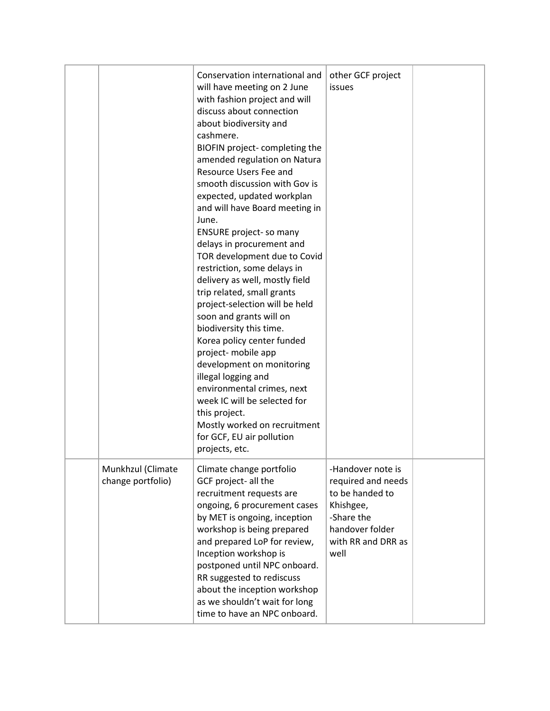|                                        | Conservation international and<br>will have meeting on 2 June<br>with fashion project and will<br>discuss about connection<br>about biodiversity and<br>cashmere.<br>BIOFIN project-completing the<br>amended regulation on Natura<br>Resource Users Fee and<br>smooth discussion with Gov is<br>expected, updated workplan<br>and will have Board meeting in<br>June.<br><b>ENSURE project-so many</b><br>delays in procurement and<br>TOR development due to Covid<br>restriction, some delays in<br>delivery as well, mostly field<br>trip related, small grants<br>project-selection will be held<br>soon and grants will on<br>biodiversity this time.<br>Korea policy center funded<br>project- mobile app<br>development on monitoring<br>illegal logging and<br>environmental crimes, next<br>week IC will be selected for<br>this project.<br>Mostly worked on recruitment<br>for GCF, EU air pollution<br>projects, etc. | other GCF project<br>issues                                                                                                            |  |
|----------------------------------------|------------------------------------------------------------------------------------------------------------------------------------------------------------------------------------------------------------------------------------------------------------------------------------------------------------------------------------------------------------------------------------------------------------------------------------------------------------------------------------------------------------------------------------------------------------------------------------------------------------------------------------------------------------------------------------------------------------------------------------------------------------------------------------------------------------------------------------------------------------------------------------------------------------------------------------|----------------------------------------------------------------------------------------------------------------------------------------|--|
| Munkhzul (Climate<br>change portfolio) | Climate change portfolio<br>GCF project- all the<br>recruitment requests are<br>ongoing, 6 procurement cases<br>by MET is ongoing, inception<br>workshop is being prepared<br>and prepared LoP for review,<br>Inception workshop is<br>postponed until NPC onboard.<br>RR suggested to rediscuss<br>about the inception workshop<br>as we shouldn't wait for long<br>time to have an NPC onboard.                                                                                                                                                                                                                                                                                                                                                                                                                                                                                                                                  | -Handover note is<br>required and needs<br>to be handed to<br>Khishgee,<br>-Share the<br>handover folder<br>with RR and DRR as<br>well |  |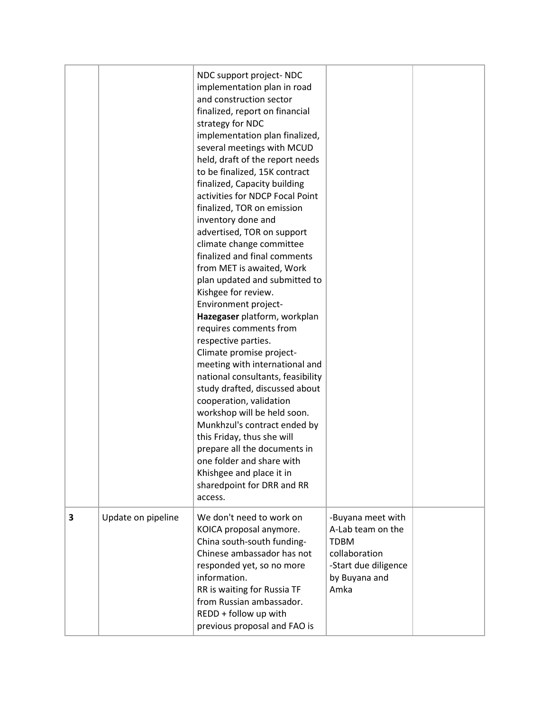|   |                    | NDC support project- NDC<br>implementation plan in road<br>and construction sector<br>finalized, report on financial<br>strategy for NDC<br>implementation plan finalized,<br>several meetings with MCUD<br>held, draft of the report needs<br>to be finalized, 15K contract<br>finalized, Capacity building<br>activities for NDCP Focal Point<br>finalized, TOR on emission<br>inventory done and<br>advertised, TOR on support<br>climate change committee<br>finalized and final comments<br>from MET is awaited, Work<br>plan updated and submitted to<br>Kishgee for review.<br>Environment project-<br>Hazegaser platform, workplan<br>requires comments from<br>respective parties.<br>Climate promise project-<br>meeting with international and<br>national consultants, feasibility<br>study drafted, discussed about<br>cooperation, validation<br>workshop will be held soon.<br>Munkhzul's contract ended by<br>this Friday, thus she will<br>prepare all the documents in<br>one folder and share with<br>Khishgee and place it in<br>sharedpoint for DRR and RR<br>access. |                                                                                                                         |  |
|---|--------------------|--------------------------------------------------------------------------------------------------------------------------------------------------------------------------------------------------------------------------------------------------------------------------------------------------------------------------------------------------------------------------------------------------------------------------------------------------------------------------------------------------------------------------------------------------------------------------------------------------------------------------------------------------------------------------------------------------------------------------------------------------------------------------------------------------------------------------------------------------------------------------------------------------------------------------------------------------------------------------------------------------------------------------------------------------------------------------------------------|-------------------------------------------------------------------------------------------------------------------------|--|
| 3 | Update on pipeline | We don't need to work on<br>KOICA proposal anymore.<br>China south-south funding-<br>Chinese ambassador has not<br>responded yet, so no more<br>information.<br>RR is waiting for Russia TF<br>from Russian ambassador.<br>REDD + follow up with<br>previous proposal and FAO is                                                                                                                                                                                                                                                                                                                                                                                                                                                                                                                                                                                                                                                                                                                                                                                                           | -Buyana meet with<br>A-Lab team on the<br><b>TDBM</b><br>collaboration<br>-Start due diligence<br>by Buyana and<br>Amka |  |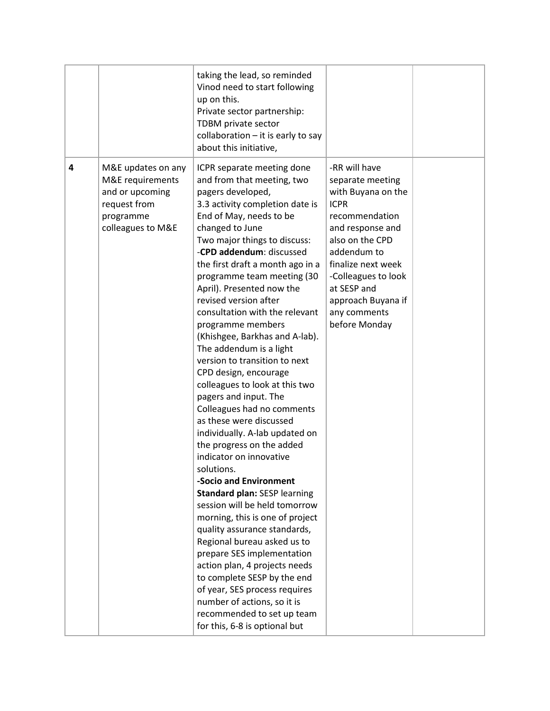|   |                                                                                                             | taking the lead, so reminded<br>Vinod need to start following<br>up on this.<br>Private sector partnership:<br>TDBM private sector<br>collaboration $-$ it is early to say<br>about this initiative,                                                                                                                                                                                                                                                                                                                                                                                                                                                                                                                                                                                                                                                                                                                                                                                                                                                                                                                                                                                          |                                                                                                                                                                                                                                                                   |  |
|---|-------------------------------------------------------------------------------------------------------------|-----------------------------------------------------------------------------------------------------------------------------------------------------------------------------------------------------------------------------------------------------------------------------------------------------------------------------------------------------------------------------------------------------------------------------------------------------------------------------------------------------------------------------------------------------------------------------------------------------------------------------------------------------------------------------------------------------------------------------------------------------------------------------------------------------------------------------------------------------------------------------------------------------------------------------------------------------------------------------------------------------------------------------------------------------------------------------------------------------------------------------------------------------------------------------------------------|-------------------------------------------------------------------------------------------------------------------------------------------------------------------------------------------------------------------------------------------------------------------|--|
| 4 | M&E updates on any<br>M&E requirements<br>and or upcoming<br>request from<br>programme<br>colleagues to M&E | ICPR separate meeting done<br>and from that meeting, two<br>pagers developed,<br>3.3 activity completion date is<br>End of May, needs to be<br>changed to June<br>Two major things to discuss:<br>-CPD addendum: discussed<br>the first draft a month ago in a<br>programme team meeting (30<br>April). Presented now the<br>revised version after<br>consultation with the relevant<br>programme members<br>(Khishgee, Barkhas and A-lab).<br>The addendum is a light<br>version to transition to next<br>CPD design, encourage<br>colleagues to look at this two<br>pagers and input. The<br>Colleagues had no comments<br>as these were discussed<br>individually. A-lab updated on<br>the progress on the added<br>indicator on innovative<br>solutions.<br>-Socio and Environment<br><b>Standard plan: SESP learning</b><br>session will be held tomorrow<br>morning, this is one of project<br>quality assurance standards,<br>Regional bureau asked us to<br>prepare SES implementation<br>action plan, 4 projects needs<br>to complete SESP by the end<br>of year, SES process requires<br>number of actions, so it is<br>recommended to set up team<br>for this, 6-8 is optional but | -RR will have<br>separate meeting<br>with Buyana on the<br><b>ICPR</b><br>recommendation<br>and response and<br>also on the CPD<br>addendum to<br>finalize next week<br>-Colleagues to look<br>at SESP and<br>approach Buyana if<br>any comments<br>before Monday |  |